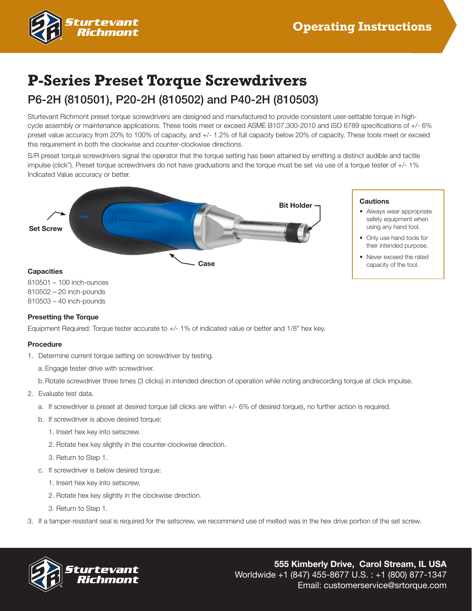

# **P-Series Preset Torque Screwdrivers**

# P6-2H (810501), P20-2H (810502) and P40-2H (810503)

Sturtevant Richmont preset torque screwdrivers are designed and manufactured to provide consistent user-settable torque in highcycle assembly or maintenance applications. These tools meet or exceed ASME B107.300-2010 and ISO 6789 specifications of +/- 6% preset value accuracy from 20% to 100% of capacity, and +/- 1.2% of full capacity below 20% of capacity. These tools meet or exceed this requirement in both the clockwise and counter-clockwise directions.

S/R preset torque screwdrivers signal the operator that the torque setting has been attained by emitting a distinct audible and tactile impulse (click"). Preset torque screwdrivers do not have graduations and the torque must be set via use of a torque tester of +/- 1% Indicated Value accuracy or better.



810501 – 100 inch-ounces 810502 – 20 inch-pounds 810503 – 40 inch-pounds

#### **Presetting the Torque**

Equipment Required: Torque tester accurate to +/- 1% of indicated value or better and 1/8" hex key.

#### **Procedure**

- 1. Determine current torque setting on screwdriver by testing.
	- a. Engage tester drive with screwdriver.
	- b.Rotate screwdriver three times (3 clicks) in intended direction of operation while noting andrecording torque at click impulse.
- 2. Evaluate test data.
	- a. If screwdriver is preset at desired torque (all clicks are within +/- 6% of desired torque), no further action is required.
	- b. If screwdriver is above desired torque:
		- 1. Insert hex key into setscrew.
		- 2. Rotate hex key slightly in the counter-clockwise direction.
		- 3. Return to Step 1.
	- c. If screwdriver is below desired torque:
		- 1. Insert hex key into setscrew.
		- 2. Rotate hex key slightly in the clockwise direction.
		- 3. Return to Step 1.
- 3. If a tamper-resistant seal is required for the setscrew, we recommend use of melted was in the hex drive portion of the set screw.